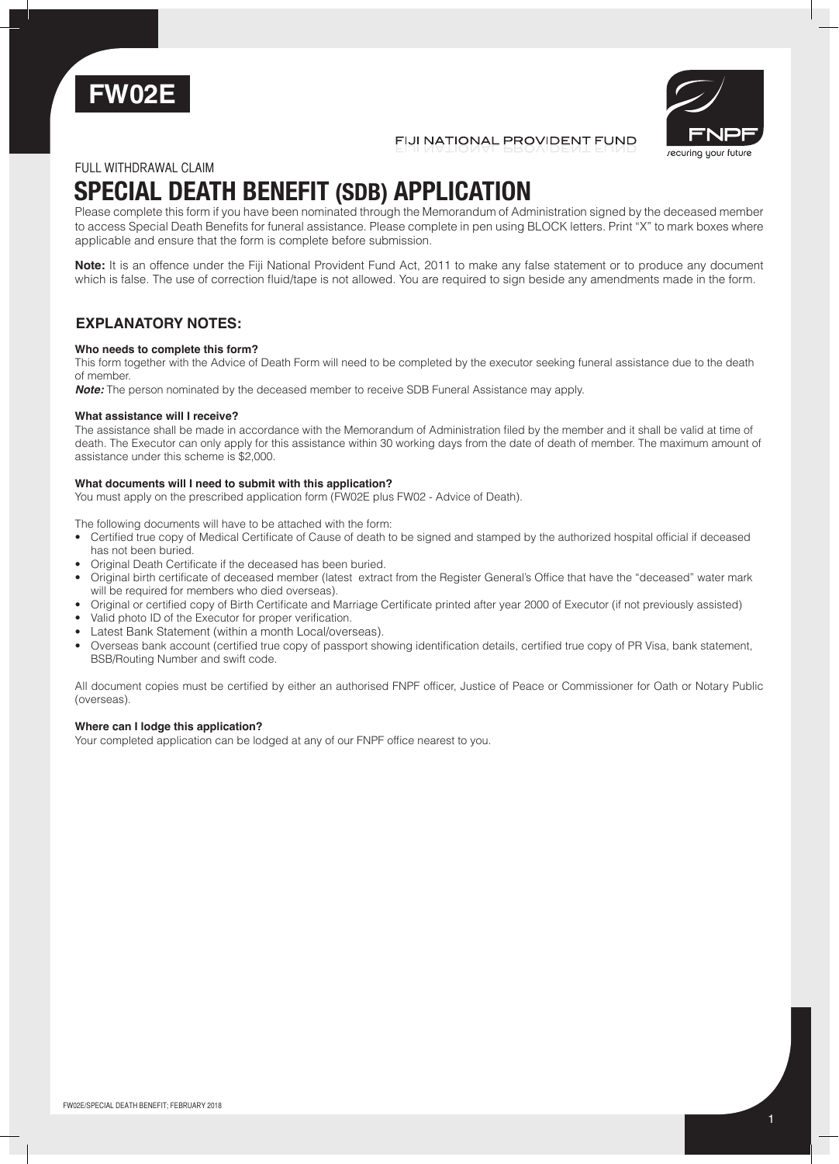



FIJI NATIONAL PROVIDENT FUND

# FULL WITHDRAWAL CLAIM

# **SPECIAL DEATH BENEFIT (SDB) APPLICATION**

Please complete this form if you have been nominated through the Memorandum of Administration signed by the deceased member to access Special Death Benefits for funeral assistance. Please complete in pen using BLOCK letters. Print "X" to mark boxes where applicable and ensure that the form is complete before submission.

**Note:** It is an offence under the Fiji National Provident Fund Act, 2011 to make any false statement or to produce any document which is false. The use of correction fluid/tape is not allowed. You are required to sign beside any amendments made in the form.

# **EXPLANATORY NOTES:**

## **Who needs to complete this form?**

This form together with the Advice of Death Form will need to be completed by the executor seeking funeral assistance due to the death of member.

**Note:** The person nominated by the deceased member to receive SDB Funeral Assistance may apply.

## **What assistance will I receive?**

The assistance shall be made in accordance with the Memorandum of Administration filed by the member and it shall be valid at time of death. The Executor can only apply for this assistance within 30 working days from the date of death of member. The maximum amount of assistance under this scheme is \$2,000.

## **What documents will I need to submit with this application?**

You must apply on the prescribed application form (FW02E plus FW02 - Advice of Death).

The following documents will have to be attached with the form:

- Certified true copy of Medical Certificate of Cause of death to be signed and stamped by the authorized hospital official if deceased has not been buried.
- Original Death Certificate if the deceased has been buried.
- Original birth certificate of deceased member (latest extract from the Register General's Office that have the "deceased" water mark will be required for members who died overseas).
- Original or certified copy of Birth Certificate and Marriage Certificate printed after year 2000 of Executor (if not previously assisted)
- Valid photo ID of the Executor for proper verification.
- Latest Bank Statement (within a month Local/overseas).
- Overseas bank account (certified true copy of passport showing identification details, certified true copy of PR Visa, bank statement, BSB/Routing Number and swift code.

All document copies must be certified by either an authorised FNPF officer, Justice of Peace or Commissioner for Oath or Notary Public (overseas).

## **Where can I lodge this application?**

Your completed application can be lodged at any of our FNPF office nearest to you.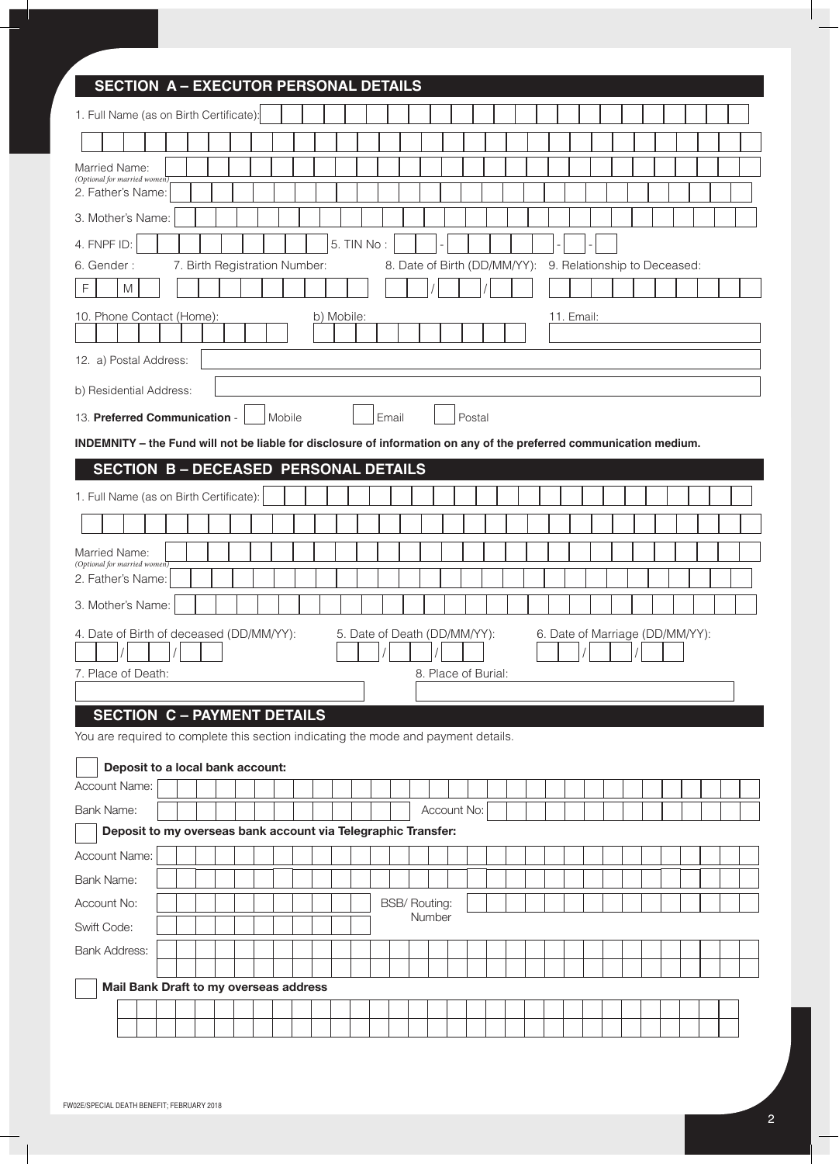| <b>SECTION A - EXECUTOR PERSONAL DETAILS</b>                                                                             |  |  |            |            |                              |  |                              |  |  |                                 |                              |  |  |  |  |
|--------------------------------------------------------------------------------------------------------------------------|--|--|------------|------------|------------------------------|--|------------------------------|--|--|---------------------------------|------------------------------|--|--|--|--|
| 1. Full Name (as on Birth Certificate):                                                                                  |  |  |            |            |                              |  |                              |  |  |                                 |                              |  |  |  |  |
|                                                                                                                          |  |  |            |            |                              |  |                              |  |  |                                 |                              |  |  |  |  |
| Married Name:<br>(Optional for married women)                                                                            |  |  |            |            |                              |  |                              |  |  |                                 |                              |  |  |  |  |
| 2. Father's Name:                                                                                                        |  |  |            |            |                              |  |                              |  |  |                                 |                              |  |  |  |  |
| 3. Mother's Name:                                                                                                        |  |  |            |            |                              |  |                              |  |  |                                 |                              |  |  |  |  |
| 4. FNPF ID:                                                                                                              |  |  |            | 5. TIN No: |                              |  |                              |  |  |                                 |                              |  |  |  |  |
| 6. Gender:<br>7. Birth Registration Number:                                                                              |  |  |            |            |                              |  | 8. Date of Birth (DD/MM/YY): |  |  |                                 | 9. Relationship to Deceased: |  |  |  |  |
| $\mathsf F$<br>M                                                                                                         |  |  |            |            |                              |  |                              |  |  |                                 |                              |  |  |  |  |
| 10. Phone Contact (Home):                                                                                                |  |  | b) Mobile: |            |                              |  |                              |  |  |                                 | 11. Email:                   |  |  |  |  |
|                                                                                                                          |  |  |            |            |                              |  |                              |  |  |                                 |                              |  |  |  |  |
| 12. a) Postal Address:                                                                                                   |  |  |            |            |                              |  |                              |  |  |                                 |                              |  |  |  |  |
| b) Residential Address:                                                                                                  |  |  |            |            |                              |  |                              |  |  |                                 |                              |  |  |  |  |
| Postal<br>13. Preferred Communication -<br>Mobile<br>Email                                                               |  |  |            |            |                              |  |                              |  |  |                                 |                              |  |  |  |  |
| INDEMNITY - the Fund will not be liable for disclosure of information on any of the preferred communication medium.      |  |  |            |            |                              |  |                              |  |  |                                 |                              |  |  |  |  |
| <b>SECTION B-DECEASED PERSONAL DETAILS</b>                                                                               |  |  |            |            |                              |  |                              |  |  |                                 |                              |  |  |  |  |
| 1. Full Name (as on Birth Certificate):                                                                                  |  |  |            |            |                              |  |                              |  |  |                                 |                              |  |  |  |  |
|                                                                                                                          |  |  |            |            |                              |  |                              |  |  |                                 |                              |  |  |  |  |
| Married Name:                                                                                                            |  |  |            |            |                              |  |                              |  |  |                                 |                              |  |  |  |  |
| (Optional for married women)<br>2. Father's Name:                                                                        |  |  |            |            |                              |  |                              |  |  |                                 |                              |  |  |  |  |
| 3. Mother's Name:                                                                                                        |  |  |            |            |                              |  |                              |  |  |                                 |                              |  |  |  |  |
| 4. Date of Birth of deceased (DD/MM/YY):                                                                                 |  |  |            |            | 5. Date of Death (DD/MM/YY): |  |                              |  |  | 6. Date of Marriage (DD/MM/YY): |                              |  |  |  |  |
|                                                                                                                          |  |  |            |            |                              |  |                              |  |  |                                 |                              |  |  |  |  |
| 7. Place of Death:<br>8. Place of Burial:                                                                                |  |  |            |            |                              |  |                              |  |  |                                 |                              |  |  |  |  |
|                                                                                                                          |  |  |            |            |                              |  |                              |  |  |                                 |                              |  |  |  |  |
| <b>SECTION C - PAYMENT DETAILS</b><br>You are required to complete this section indicating the mode and payment details. |  |  |            |            |                              |  |                              |  |  |                                 |                              |  |  |  |  |
|                                                                                                                          |  |  |            |            |                              |  |                              |  |  |                                 |                              |  |  |  |  |
| Deposit to a local bank account:<br>Account Name:                                                                        |  |  |            |            |                              |  |                              |  |  |                                 |                              |  |  |  |  |
| <b>Bank Name:</b>                                                                                                        |  |  |            |            |                              |  | Account No:                  |  |  |                                 |                              |  |  |  |  |
| Deposit to my overseas bank account via Telegraphic Transfer:                                                            |  |  |            |            |                              |  |                              |  |  |                                 |                              |  |  |  |  |
| Account Name:                                                                                                            |  |  |            |            |                              |  |                              |  |  |                                 |                              |  |  |  |  |
| <b>Bank Name:</b>                                                                                                        |  |  |            |            |                              |  |                              |  |  |                                 |                              |  |  |  |  |
| Account No:                                                                                                              |  |  |            |            | <b>BSB/ Routing:</b>         |  |                              |  |  |                                 |                              |  |  |  |  |
| Swift Code:                                                                                                              |  |  |            |            |                              |  | Number                       |  |  |                                 |                              |  |  |  |  |
| <b>Bank Address:</b>                                                                                                     |  |  |            |            |                              |  |                              |  |  |                                 |                              |  |  |  |  |
|                                                                                                                          |  |  |            |            |                              |  |                              |  |  |                                 |                              |  |  |  |  |
| Mail Bank Draft to my overseas address                                                                                   |  |  |            |            |                              |  |                              |  |  |                                 |                              |  |  |  |  |
|                                                                                                                          |  |  |            |            |                              |  |                              |  |  |                                 |                              |  |  |  |  |